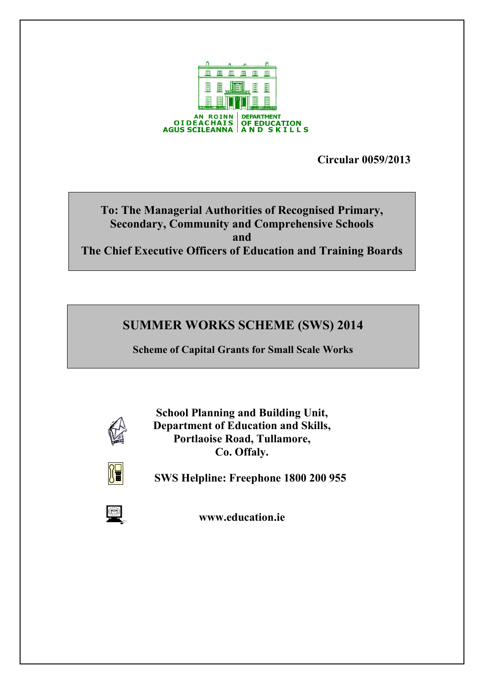

**Circular 0059/2013** 

# **To: The Managerial Authorities of Recognised Primary, Secondary, Community and Comprehensive Schools and The Chief Executive Officers of Education and Training Boards**

# **SUMMER WORKS SCHEME (SWS) 2014**

**Scheme of Capital Grants for Small Scale Works**



**School Planning and Building Unit, Department of Education and Skills, Portlaoise Road, Tullamore, Co. Offaly.**



 **SWS Helpline: Freephone 1800 200 955**



**www.education.ie**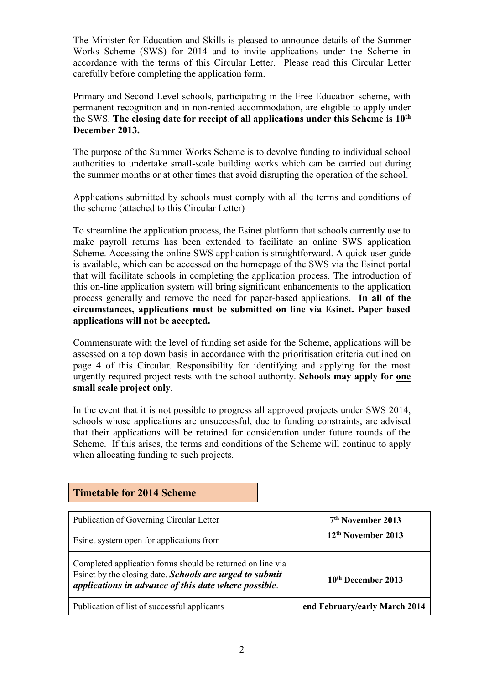The Minister for Education and Skills is pleased to announce details of the Summer Works Scheme (SWS) for 2014 and to invite applications under the Scheme in accordance with the terms of this Circular Letter. Please read this Circular Letter carefully before completing the application form.

Primary and Second Level schools, participating in the Free Education scheme, with permanent recognition and in non-rented accommodation, are eligible to apply under the SWS. **The closing date for receipt of all applications under this Scheme is 10th December 2013.**

The purpose of the Summer Works Scheme is to devolve funding to individual school authorities to undertake small-scale building works which can be carried out during the summer months or at other times that avoid disrupting the operation of the school.

Applications submitted by schools must comply with all the terms and conditions of the scheme (attached to this Circular Letter)

To streamline the application process, the Esinet platform that schools currently use to make payroll returns has been extended to facilitate an online SWS application Scheme. Accessing the online SWS application is straightforward. A quick user guide is available, which can be accessed on the homepage of the SWS via the Esinet portal that will facilitate schools in completing the application process. The introduction of this on-line application system will bring significant enhancements to the application process generally and remove the need for paper-based applications. **In all of the circumstances, applications must be submitted on line via Esinet. Paper based applications will not be accepted.**

Commensurate with the level of funding set aside for the Scheme, applications will be assessed on a top down basis in accordance with the prioritisation criteria outlined on page 4 of this Circular. Responsibility for identifying and applying for the most urgently required project rests with the school authority. **Schools may apply for one small scale project only**.

In the event that it is not possible to progress all approved projects under SWS 2014, schools whose applications are unsuccessful, due to funding constraints, are advised that their applications will be retained for consideration under future rounds of the Scheme. If this arises, the terms and conditions of the Scheme will continue to apply when allocating funding to such projects.

| Publication of Governing Circular Letter                                                                                                                                      | 7 <sup>th</sup> November 2013  |
|-------------------------------------------------------------------------------------------------------------------------------------------------------------------------------|--------------------------------|
| Esinet system open for applications from                                                                                                                                      | 12 <sup>th</sup> November 2013 |
| Completed application forms should be returned on line via<br>Esinet by the closing date. Schools are urged to submit<br>applications in advance of this date where possible. | 10 <sup>th</sup> December 2013 |
| Publication of list of successful applicants                                                                                                                                  | end February/early March 2014  |

## **Timetable for 2014 Scheme**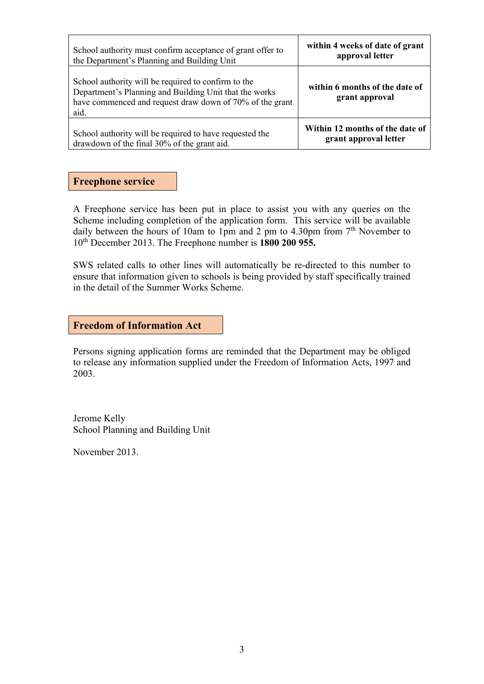| School authority must confirm acceptance of grant offer to                                                                                                                        | within 4 weeks of date of grant                  |
|-----------------------------------------------------------------------------------------------------------------------------------------------------------------------------------|--------------------------------------------------|
| the Department's Planning and Building Unit                                                                                                                                       | approval letter                                  |
| School authority will be required to confirm to the<br>Department's Planning and Building Unit that the works<br>have commenced and request draw down of 70% of the grant<br>aid. | within 6 months of the date of<br>grant approval |
| School authority will be required to have requested the                                                                                                                           | Within 12 months of the date of                  |
| drawdown of the final 30% of the grant aid.                                                                                                                                       | grant approval letter                            |

### **Freephone service**

A Freephone service has been put in place to assist you with any queries on the Scheme including completion of the application form. This service will be available daily between the hours of 10am to 1pm and 2 pm to 4.30pm from  $7<sup>th</sup>$  November to 10th December 2013. The Freephone number is **1800 200 955.**

SWS related calls to other lines will automatically be re-directed to this number to ensure that information given to schools is being provided by staff specifically trained in the detail of the Summer Works Scheme.

#### **Freedom of Information Act**

Persons signing application forms are reminded that the Department may be obliged to release any information supplied under the Freedom of Information Acts, 1997 and 2003.

Jerome Kelly School Planning and Building Unit

November 2013.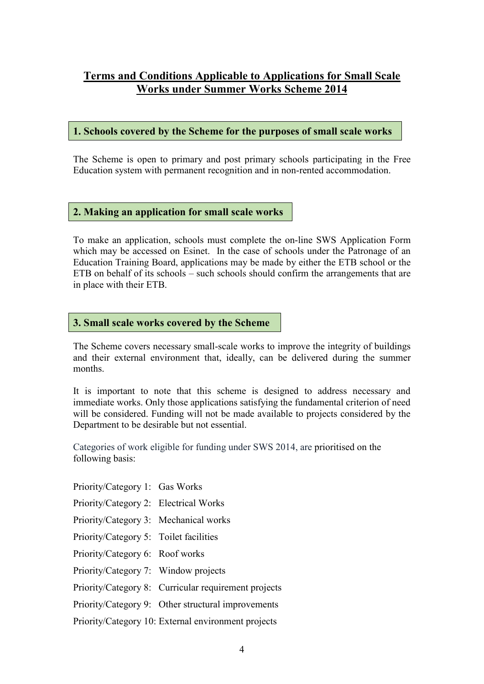## **Terms and Conditions Applicable to Applications for Small Scale Works under Summer Works Scheme 2014**

## **1. Schools covered by the Scheme for the purposes of small scale works**

The Scheme is open to primary and post primary schools participating in the Free Education system with permanent recognition and in non-rented accommodation.

## **2. Making an application for small scale works**

To make an application, schools must complete the on-line SWS Application Form which may be accessed on Esinet. In the case of schools under the Patronage of an Education Training Board, applications may be made by either the ETB school or the ETB on behalf of its schools – such schools should confirm the arrangements that are in place with their ETB.

## **3. Small scale works covered by the Scheme**

The Scheme covers necessary small-scale works to improve the integrity of buildings and their external environment that, ideally, can be delivered during the summer months.

It is important to note that this scheme is designed to address necessary and immediate works. Only those applications satisfying the fundamental criterion of need will be considered. Funding will not be made available to projects considered by the Department to be desirable but not essential.

Categories of work eligible for funding under SWS 2014, are prioritised on the following basis:

- Priority/Category 1: Gas Works
- Priority/Category 2: Electrical Works
- Priority/Category 3: Mechanical works
- Priority/Category 5: Toilet facilities
- Priority/Category 6: Roof works
- Priority/Category 7: Window projects
- Priority/Category 8: Curricular requirement projects
- Priority/Category 9: Other structural improvements

Priority/Category 10: External environment projects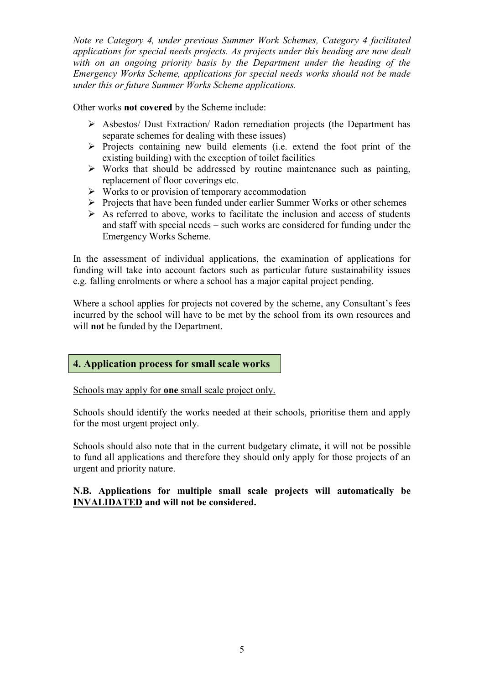*Note re Category 4, under previous Summer Work Schemes, Category 4 facilitated applications for special needs projects. As projects under this heading are now dealt with on an ongoing priority basis by the Department under the heading of the Emergency Works Scheme, applications for special needs works should not be made under this or future Summer Works Scheme applications.* 

Other works **not covered** by the Scheme include:

- Asbestos/ Dust Extraction/ Radon remediation projects (the Department has separate schemes for dealing with these issues)
- $\triangleright$  Projects containing new build elements (i.e. extend the foot print of the existing building) with the exception of toilet facilities
- $\triangleright$  Works that should be addressed by routine maintenance such as painting, replacement of floor coverings etc.
- $\triangleright$  Works to or provision of temporary accommodation
- $\triangleright$  Projects that have been funded under earlier Summer Works or other schemes
- $\triangleright$  As referred to above, works to facilitate the inclusion and access of students and staff with special needs – such works are considered for funding under the Emergency Works Scheme.

In the assessment of individual applications, the examination of applications for funding will take into account factors such as particular future sustainability issues e.g. falling enrolments or where a school has a major capital project pending.

Where a school applies for projects not covered by the scheme, any Consultant's fees incurred by the school will have to be met by the school from its own resources and will **not** be funded by the Department.

## **4. Application process for small scale works**

Schools may apply for **one** small scale project only.

Schools should identify the works needed at their schools, prioritise them and apply for the most urgent project only.

Schools should also note that in the current budgetary climate, it will not be possible to fund all applications and therefore they should only apply for those projects of an urgent and priority nature.

### **N.B. Applications for multiple small scale projects will automatically be INVALIDATED and will not be considered.**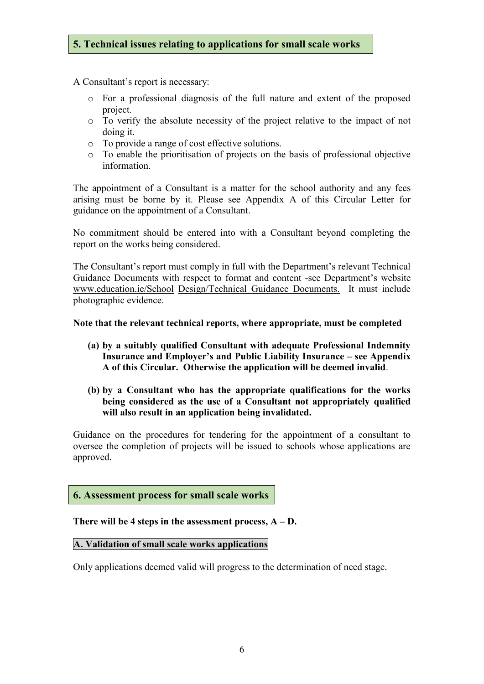## **5. Technical issues relating to applications for small scale works**

A Consultant's report is necessary:

- o For a professional diagnosis of the full nature and extent of the proposed project.
- o To verify the absolute necessity of the project relative to the impact of not doing it.
- o To provide a range of cost effective solutions.
- o To enable the prioritisation of projects on the basis of professional objective information.

The appointment of a Consultant is a matter for the school authority and any fees arising must be borne by it. Please see Appendix A of this Circular Letter for guidance on the appointment of a Consultant.

No commitment should be entered into with a Consultant beyond completing the report on the works being considered.

The Consultant's report must comply in full with the Department's relevant Technical Guidance Documents with respect to format and content -see Department's website [www.education.ie/School](http://www.education.ie/School) Design/Technical Guidance Documents. It must include photographic evidence.

#### **Note that the relevant technical reports, where appropriate, must be completed**

- **(a) by a suitably qualified Consultant with adequate Professional Indemnity Insurance and Employer's and Public Liability Insurance – see Appendix A of this Circular. Otherwise the application will be deemed invalid**.
- **(b) by a Consultant who has the appropriate qualifications for the works being considered as the use of a Consultant not appropriately qualified will also result in an application being invalidated.**

Guidance on the procedures for tendering for the appointment of a consultant to oversee the completion of projects will be issued to schools whose applications are approved.

#### **6. Assessment process for small scale works**

#### **There will be 4 steps in the assessment process, A – D.**

#### **A. Validation of small scale works applications**

Only applications deemed valid will progress to the determination of need stage.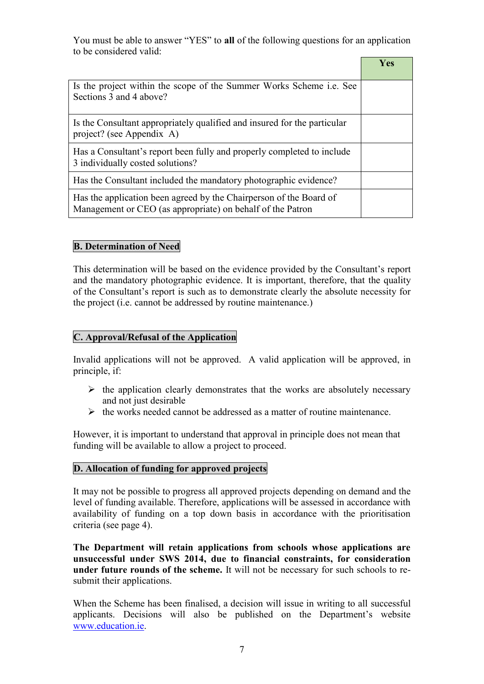You must be able to answer "YES" to **all** of the following questions for an application to be considered valid:

|                                                                                                                                  | Yes |
|----------------------------------------------------------------------------------------------------------------------------------|-----|
| Is the project within the scope of the Summer Works Scheme <i>i.e.</i> See<br>Sections 3 and 4 above?                            |     |
| Is the Consultant appropriately qualified and insured for the particular<br>project? (see Appendix A)                            |     |
| Has a Consultant's report been fully and properly completed to include<br>3 individually costed solutions?                       |     |
| Has the Consultant included the mandatory photographic evidence?                                                                 |     |
| Has the application been agreed by the Chairperson of the Board of<br>Management or CEO (as appropriate) on behalf of the Patron |     |

## **B. Determination of Need**

This determination will be based on the evidence provided by the Consultant's report and the mandatory photographic evidence. It is important, therefore, that the quality of the Consultant's report is such as to demonstrate clearly the absolute necessity for the project (i.e. cannot be addressed by routine maintenance.)

### **C. Approval/Refusal of the Application**

Invalid applications will not be approved. A valid application will be approved, in principle, if:

- $\triangleright$  the application clearly demonstrates that the works are absolutely necessary and not just desirable
- $\triangleright$  the works needed cannot be addressed as a matter of routine maintenance.

However, it is important to understand that approval in principle does not mean that funding will be available to allow a project to proceed.

## **D. Allocation of funding for approved projects**

It may not be possible to progress all approved projects depending on demand and the level of funding available. Therefore, applications will be assessed in accordance with availability of funding on a top down basis in accordance with the prioritisation criteria (see page 4).

**The Department will retain applications from schools whose applications are unsuccessful under SWS 2014, due to financial constraints, for consideration under future rounds of the scheme.** It will not be necessary for such schools to resubmit their applications.

When the Scheme has been finalised, a decision will issue in writing to all successful applicants. Decisions will also be published on the Department's website [www.education.ie.](http://www.education.ie/)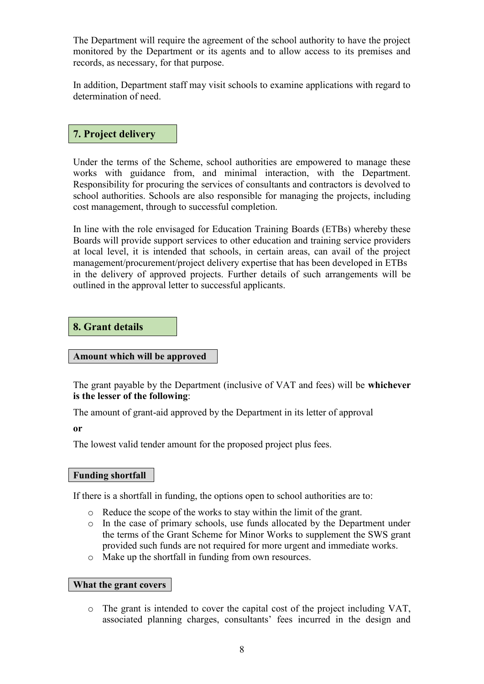The Department will require the agreement of the school authority to have the project monitored by the Department or its agents and to allow access to its premises and records, as necessary, for that purpose.

In addition, Department staff may visit schools to examine applications with regard to determination of need.

## **7. Project delivery**

Under the terms of the Scheme, school authorities are empowered to manage these works with guidance from, and minimal interaction, with the Department. Responsibility for procuring the services of consultants and contractors is devolved to school authorities. Schools are also responsible for managing the projects, including cost management, through to successful completion.

In line with the role envisaged for Education Training Boards (ETBs) whereby these Boards will provide support services to other education and training service providers at local level, it is intended that schools, in certain areas, can avail of the project management/procurement/project delivery expertise that has been developed in ETBs in the delivery of approved projects. Further details of such arrangements will be outlined in the approval letter to successful applicants.

#### **8. Grant details**

#### **Amount which will be approved**

The grant payable by the Department (inclusive of VAT and fees) will be **whichever is the lesser of the following**:

The amount of grant-aid approved by the Department in its letter of approval

**or**

The lowest valid tender amount for the proposed project plus fees.

#### **Funding shortfall**

If there is a shortfall in funding, the options open to school authorities are to:

- o Reduce the scope of the works to stay within the limit of the grant.
- o In the case of primary schools, use funds allocated by the Department under the terms of the Grant Scheme for Minor Works to supplement the SWS grant provided such funds are not required for more urgent and immediate works.
- o Make up the shortfall in funding from own resources.

#### **What the grant covers**

o The grant is intended to cover the capital cost of the project including VAT, associated planning charges, consultants' fees incurred in the design and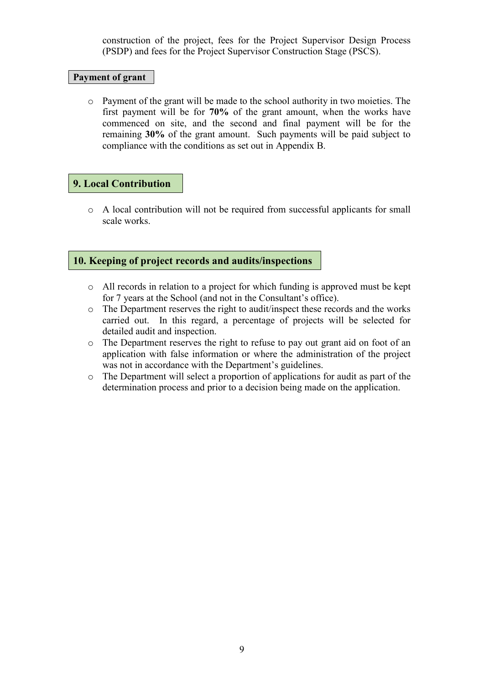construction of the project, fees for the Project Supervisor Design Process (PSDP) and fees for the Project Supervisor Construction Stage (PSCS).

#### **Payment of grant**

o Payment of the grant will be made to the school authority in two moieties. The first payment will be for **70%** of the grant amount, when the works have commenced on site, and the second and final payment will be for the remaining **30%** of the grant amount. Such payments will be paid subject to compliance with the conditions as set out in Appendix B.

## **9. Local Contribution**

o A local contribution will not be required from successful applicants for small scale works.

## **10. Keeping of project records and audits/inspections**

- o All records in relation to a project for which funding is approved must be kept for 7 years at the School (and not in the Consultant's office).
- o The Department reserves the right to audit/inspect these records and the works carried out. In this regard, a percentage of projects will be selected for detailed audit and inspection.
- o The Department reserves the right to refuse to pay out grant aid on foot of an application with false information or where the administration of the project was not in accordance with the Department's guidelines.
- o The Department will select a proportion of applications for audit as part of the determination process and prior to a decision being made on the application.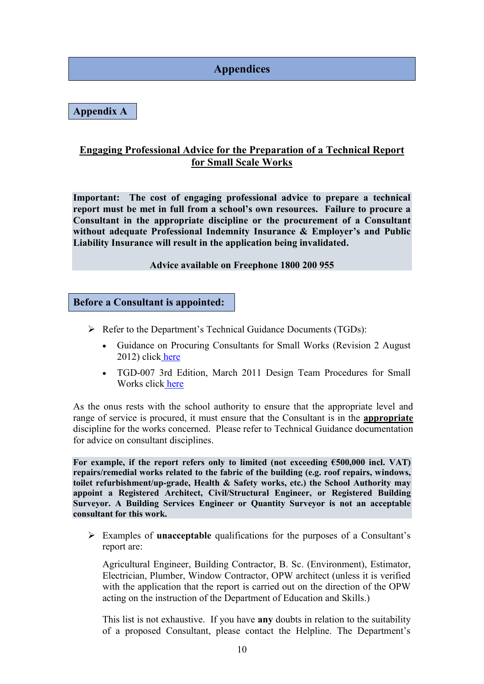# **Appendices**

**Appendix A**

## **Engaging Professional Advice for the Preparation of a Technical Report for Small Scale Works**

**Important: The cost of engaging professional advice to prepare a technical report must be met in full from a school's own resources. Failure to procure a Consultant in the appropriate discipline or the procurement of a Consultant without adequate Professional Indemnity Insurance & Employer's and Public Liability Insurance will result in the application being invalidated.**

#### **Advice available on Freephone 1800 200 955**

**Before a Consultant is appointed:**

- Refer to the Department's Technical Guidance Documents (TGDs):
	- Guidance on Procuring Consultants for Small Works (Revision 2 August 2012) click [here](http://www.education.ie/en/School-Design/Procedures-and-Cost-Plans/pbu_dtp_guidance_procuring_consultants_small_works.doc)
	- TGD-007 3rd Edition, March 2011 Design Team Procedures for Small Works click [here](http://www.education.ie/en/School-Design/Technical-Guidance-Documents/bu_tgd_007_march_2011.doc)

As the onus rests with the school authority to ensure that the appropriate level and range of service is procured, it must ensure that the Consultant is in the **appropriate** discipline for the works concerned. Please refer to Technical Guidance documentation for advice on consultant disciplines.

**For example, if the report refers only to limited (not exceeding €500,000 incl. VAT) repairs/remedial works related to the fabric of the building (e.g. roof repairs, windows, toilet refurbishment/up-grade, Health & Safety works, etc.) the School Authority may appoint a Registered Architect, Civil/Structural Engineer, or Registered Building Surveyor. A Building Services Engineer or Quantity Surveyor is not an acceptable consultant for this work.**

 Examples of **unacceptable** qualifications for the purposes of a Consultant's report are:

Agricultural Engineer, Building Contractor, B. Sc. (Environment), Estimator, Electrician, Plumber, Window Contractor, OPW architect (unless it is verified with the application that the report is carried out on the direction of the OPW acting on the instruction of the Department of Education and Skills.)

This list is not exhaustive. If you have **any** doubts in relation to the suitability of a proposed Consultant, please contact the Helpline. The Department's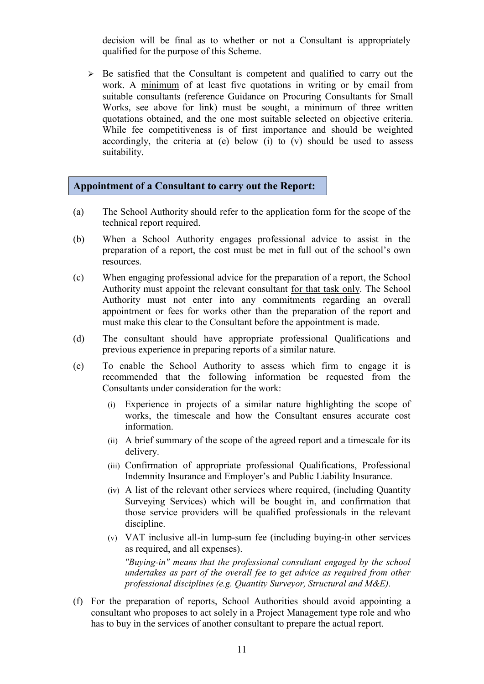decision will be final as to whether or not a Consultant is appropriately qualified for the purpose of this Scheme.

 $\triangleright$  Be satisfied that the Consultant is competent and qualified to carry out the work. A minimum of at least five quotations in writing or by email from suitable consultants (reference Guidance on Procuring Consultants for Small Works, see above for link) must be sought, a minimum of three written quotations obtained, and the one most suitable selected on objective criteria. While fee competitiveness is of first importance and should be weighted accordingly, the criteria at (e) below (i) to (v) should be used to assess suitability.

### **Appointment of a Consultant to carry out the Report:**

- (a) The School Authority should refer to the application form for the scope of the technical report required.
- (b) When a School Authority engages professional advice to assist in the preparation of a report, the cost must be met in full out of the school's own resources.
- (c) When engaging professional advice for the preparation of a report, the School Authority must appoint the relevant consultant for that task only. The School Authority must not enter into any commitments regarding an overall appointment or fees for works other than the preparation of the report and must make this clear to the Consultant before the appointment is made.
- (d) The consultant should have appropriate professional Qualifications and previous experience in preparing reports of a similar nature.
- (e) To enable the School Authority to assess which firm to engage it is recommended that the following information be requested from the Consultants under consideration for the work:
	- (i) Experience in projects of a similar nature highlighting the scope of works, the timescale and how the Consultant ensures accurate cost information.
	- (ii) A brief summary of the scope of the agreed report and a timescale for its delivery.
	- (iii) Confirmation of appropriate professional Qualifications, Professional Indemnity Insurance and Employer's and Public Liability Insurance.
	- (iv) A list of the relevant other services where required, (including Quantity Surveying Services) which will be bought in, and confirmation that those service providers will be qualified professionals in the relevant discipline.
	- (v) VAT inclusive all-in lump-sum fee (including buying-in other services as required, and all expenses).

 *"Buying-in" means that the professional consultant engaged by the school undertakes as part of the overall fee to get advice as required from other professional disciplines (e.g. Quantity Surveyor, Structural and M&E).*

(f) For the preparation of reports, School Authorities should avoid appointing a consultant who proposes to act solely in a Project Management type role and who has to buy in the services of another consultant to prepare the actual report.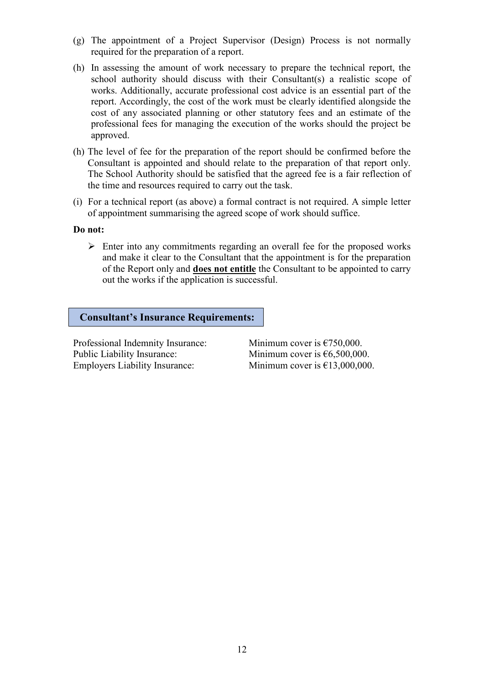- (g) The appointment of a Project Supervisor (Design) Process is not normally required for the preparation of a report.
- (h) In assessing the amount of work necessary to prepare the technical report, the school authority should discuss with their Consultant(s) a realistic scope of works. Additionally, accurate professional cost advice is an essential part of the report. Accordingly, the cost of the work must be clearly identified alongside the cost of any associated planning or other statutory fees and an estimate of the professional fees for managing the execution of the works should the project be approved.
- (h) The level of fee for the preparation of the report should be confirmed before the Consultant is appointed and should relate to the preparation of that report only. The School Authority should be satisfied that the agreed fee is a fair reflection of the time and resources required to carry out the task.
- (i) For a technical report (as above) a formal contract is not required. A simple letter of appointment summarising the agreed scope of work should suffice.

#### **Do not:**

 $\triangleright$  Enter into any commitments regarding an overall fee for the proposed works and make it clear to the Consultant that the appointment is for the preparation of the Report only and **does not entitle** the Consultant to be appointed to carry out the works if the application is successful.

#### **Consultant's Insurance Requirements:**

Professional Indemnity Insurance: Minimum cover is  $\epsilon$ 750,000. Public Liability Insurance: Minimum cover is €6,500,000. Employers Liability Insurance: Minimum cover is  $£13,000,000$ .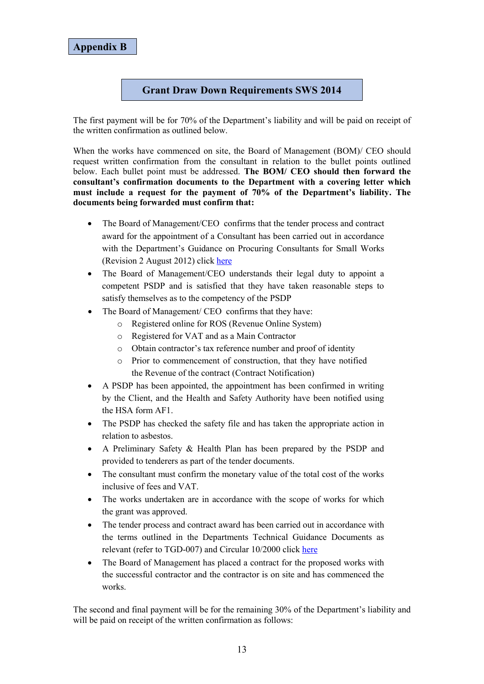## **Grant Draw Down Requirements SWS 2014**

The first payment will be for 70% of the Department's liability and will be paid on receipt of the written confirmation as outlined below.

When the works have commenced on site, the Board of Management (BOM)/ CEO should request written confirmation from the consultant in relation to the bullet points outlined below. Each bullet point must be addressed. **The BOM/ CEO should then forward the consultant's confirmation documents to the Department with a covering letter which must include a request for the payment of 70% of the Department's liability. The documents being forwarded must confirm that:**

- The Board of Management/CEO confirms that the tender process and contract award for the appointment of a Consultant has been carried out in accordance with the Department's Guidance on Procuring Consultants for Small Works (Revision 2 August 2012) click [here](http://www.education.ie/en/School-Design/Procedures-and-Cost-Plans/pbu_dtp_guidance_procuring_consultants_small_works.doc)
- The Board of Management/CEO understands their legal duty to appoint a competent PSDP and is satisfied that they have taken reasonable steps to satisfy themselves as to the competency of the PSDP
- The Board of Management/ CEO confirms that they have:
	- o Registered online for ROS (Revenue Online System)
	- o Registered for VAT and as a Main Contractor
	- o Obtain contractor's tax reference number and proof of identity
	- o Prior to commencement of construction, that they have notified the Revenue of the contract (Contract Notification)
- A PSDP has been appointed, the appointment has been confirmed in writing by the Client, and the Health and Safety Authority have been notified using the HSA form AF1.
- The PSDP has checked the safety file and has taken the appropriate action in relation to asbestos.
- A Preliminary Safety & Health Plan has been prepared by the PSDP and provided to tenderers as part of the tender documents.
- The consultant must confirm the monetary value of the total cost of the works inclusive of fees and VAT.
- The works undertaken are in accordance with the scope of works for which the grant was approved.
- The tender process and contract award has been carried out in accordance with the terms outlined in the Departments Technical Guidance Documents as relevant (refer to TGD-007) and Circular 10/2000 click [here](http://circulars.gov.ie/pdf/circular/finance/2010/10.pdf)
- The Board of Management has placed a contract for the proposed works with the successful contractor and the contractor is on site and has commenced the works.

The second and final payment will be for the remaining 30% of the Department's liability and will be paid on receipt of the written confirmation as follows: